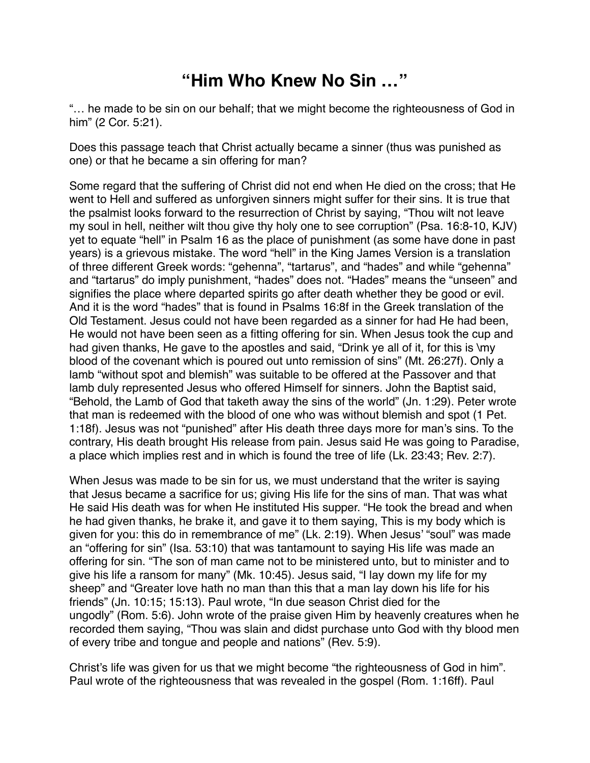## **"Him Who Knew No Sin …"**

"… he made to be sin on our behalf; that we might become the righteousness of God in him" (2 Cor. 5:21).

Does this passage teach that Christ actually became a sinner (thus was punished as one) or that he became a sin offering for man?

Some regard that the suffering of Christ did not end when He died on the cross; that He went to Hell and suffered as unforgiven sinners might suffer for their sins. It is true that the psalmist looks forward to the resurrection of Christ by saying, "Thou wilt not leave my soul in hell, neither wilt thou give thy holy one to see corruption" (Psa. 16:8-10, KJV) yet to equate "hell" in Psalm 16 as the place of punishment (as some have done in past years) is a grievous mistake. The word "hell" in the King James Version is a translation of three different Greek words: "gehenna", "tartarus", and "hades" and while "gehenna" and "tartarus" do imply punishment, "hades" does not. "Hades" means the "unseen" and signifies the place where departed spirits go after death whether they be good or evil. And it is the word "hades" that is found in Psalms 16:8f in the Greek translation of the Old Testament. Jesus could not have been regarded as a sinner for had He had been, He would not have been seen as a fitting offering for sin. When Jesus took the cup and had given thanks, He gave to the apostles and said, "Drink ye all of it, for this is \my blood of the covenant which is poured out unto remission of sins" (Mt. 26:27f). Only a lamb "without spot and blemish" was suitable to be offered at the Passover and that lamb duly represented Jesus who offered Himself for sinners. John the Baptist said, "Behold, the Lamb of God that taketh away the sins of the world" (Jn. 1:29). Peter wrote that man is redeemed with the blood of one who was without blemish and spot (1 Pet. 1:18f). Jesus was not "punished" after His death three days more for man's sins. To the contrary, His death brought His release from pain. Jesus said He was going to Paradise, a place which implies rest and in which is found the tree of life (Lk. 23:43; Rev. 2:7).

When Jesus was made to be sin for us, we must understand that the writer is saying that Jesus became a sacrifice for us; giving His life for the sins of man. That was what He said His death was for when He instituted His supper. "He took the bread and when he had given thanks, he brake it, and gave it to them saying, This is my body which is given for you: this do in remembrance of me" (Lk. 2:19). When Jesus' "soul" was made an "offering for sin" (Isa. 53:10) that was tantamount to saying His life was made an offering for sin. "The son of man came not to be ministered unto, but to minister and to give his life a ransom for many" (Mk. 10:45). Jesus said, "I lay down my life for my sheep" and "Greater love hath no man than this that a man lay down his life for his friends" (Jn. 10:15; 15:13). Paul wrote, "In due season Christ died for the ungodly" (Rom. 5:6). John wrote of the praise given Him by heavenly creatures when he recorded them saying, "Thou was slain and didst purchase unto God with thy blood men of every tribe and tongue and people and nations" (Rev. 5:9).

Christ's life was given for us that we might become "the righteousness of God in him". Paul wrote of the righteousness that was revealed in the gospel (Rom. 1:16ff). Paul